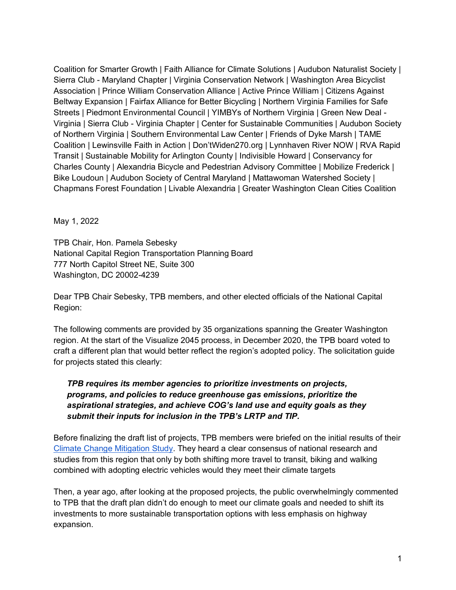Coalition for Smarter Growth | Faith Alliance for Climate Solutions | Audubon Naturalist Society | Sierra Club - Maryland Chapter | Virginia Conservation Network | Washington Area Bicyclist Association | Prince William Conservation Alliance | Active Prince William | Citizens Against Beltway Expansion | Fairfax Alliance for Better Bicycling | Northern Virginia Families for Safe Streets | Piedmont Environmental Council | YIMBYs of Northern Virginia | Green New Deal - Virginia | Sierra Club - Virginia Chapter | Center for Sustainable Communities | Audubon Society of Northern Virginia | Southern Environmental Law Center | Friends of Dyke Marsh | TAME Coalition | Lewinsville Faith in Action | Don'tWiden270.org | Lynnhaven River NOW | RVA Rapid Transit | Sustainable Mobility for Arlington County | Indivisible Howard | Conservancy for Charles County | Alexandria Bicycle and Pedestrian Advisory Committee | Mobilize Frederick | Bike Loudoun | Audubon Society of Central Maryland | Mattawoman Watershed Society | Chapmans Forest Foundation | Livable Alexandria | Greater Washington Clean Cities Coalition

May 1, 2022

TPB Chair, Hon. Pamela Sebesky National Capital Region Transportation Planning Board 777 North Capitol Street NE, Suite 300 Washington, DC 20002-4239

Dear TPB Chair Sebesky, TPB members, and other elected officials of the National Capital Region:

The following comments are provided by 35 organizations spanning the Greater Washington region. At the start of the Visualize 2045 process, in December 2020, the TPB board voted to craft a different plan that would better reflect the region's adopted policy. The solicitation guide for projects stated this clearly:

## *TPB requires its member agencies to prioritize investments on projects, programs, and policies to reduce greenhouse gas emissions, prioritize the aspirational strategies, and achieve COG's land use and equity goals as they submit their inputs for inclusion in the TPB's LRTP and TIP.*

Before finalizing the draft list of projects, TPB members were briefed on the initial results of their Climate Change Mitigation Study. They heard a clear consensus of national research and studies from this region that only by both shifting more travel to transit, biking and walking combined with adopting electric vehicles would they meet their climate targets

Then, a year ago, after looking at the proposed projects, the public overwhelmingly commented to TPB that the draft plan didn't do enough to meet our climate goals and needed to shift its investments to more sustainable transportation options with less emphasis on highway expansion.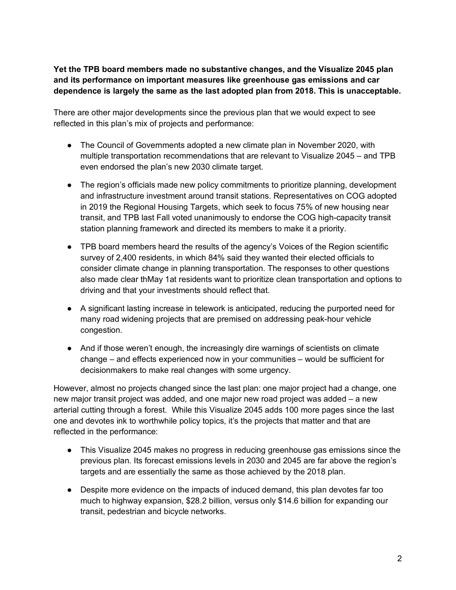**Yet the TPB board members made no substantive changes, and the Visualize 2045 plan and its performance on important measures like greenhouse gas emissions and car dependence is largely the same as the last adopted plan from 2018. This is unacceptable.**

There are other major developments since the previous plan that we would expect to see reflected in this plan's mix of projects and performance:

- The Council of Governments adopted a new climate plan in November 2020, with multiple transportation recommendations that are relevant to Visualize 2045 – and TPB even endorsed the plan's new 2030 climate target.
- The region's officials made new policy commitments to prioritize planning, development and infrastructure investment around transit stations. Representatives on COG adopted in 2019 the Regional Housing Targets, which seek to focus 75% of new housing near transit, and TPB last Fall voted unanimously to endorse the COG high-capacity transit station planning framework and directed its members to make it a priority.
- TPB board members heard the results of the agency's Voices of the Region scientific survey of 2,400 residents, in which 84% said they wanted their elected officials to consider climate change in planning transportation. The responses to other questions also made clear thMay 1at residents want to prioritize clean transportation and options to driving and that your investments should reflect that.
- A significant lasting increase in telework is anticipated, reducing the purported need for many road widening projects that are premised on addressing peak-hour vehicle congestion.
- And if those weren't enough, the increasingly dire warnings of scientists on climate change – and effects experienced now in your communities – would be sufficient for decisionmakers to make real changes with some urgency.

However, almost no projects changed since the last plan: one major project had a change, one new major transit project was added, and one major new road project was added – a new arterial cutting through a forest. While this Visualize 2045 adds 100 more pages since the last one and devotes ink to worthwhile policy topics, it's the projects that matter and that are reflected in the performance:

- This Visualize 2045 makes no progress in reducing greenhouse gas emissions since the previous plan. Its forecast emissions levels in 2030 and 2045 are far above the region's targets and are essentially the same as those achieved by the 2018 plan.
- Despite more evidence on the impacts of induced demand, this plan devotes far too much to highway expansion, \$28.2 billion, versus only \$14.6 billion for expanding our transit, pedestrian and bicycle networks.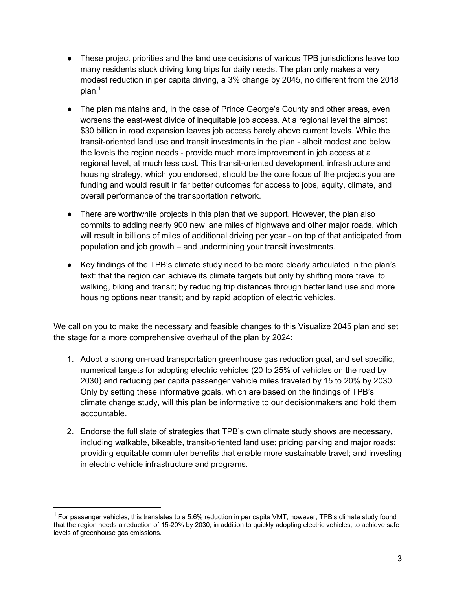- These project priorities and the land use decisions of various TPB jurisdictions leave too many residents stuck driving long trips for daily needs. The plan only makes a very modest reduction in per capita driving, a 3% change by 2045, no different from the 2018  $plan.<sup>1</sup>$
- The plan maintains and, in the case of Prince George's County and other areas, even worsens the east-west divide of inequitable job access. At a regional level the almost \$30 billion in road expansion leaves job access barely above current levels. While the transit-oriented land use and transit investments in the plan - albeit modest and below the levels the region needs - provide much more improvement in job access at a regional level, at much less cost. This transit-oriented development, infrastructure and housing strategy, which you endorsed, should be the core focus of the projects you are funding and would result in far better outcomes for access to jobs, equity, climate, and overall performance of the transportation network.
- There are worthwhile projects in this plan that we support. However, the plan also commits to adding nearly 900 new lane miles of highways and other major roads, which will result in billions of miles of additional driving per year - on top of that anticipated from population and job growth – and undermining your transit investments.
- Key findings of the TPB's climate study need to be more clearly articulated in the plan's text: that the region can achieve its climate targets but only by shifting more travel to walking, biking and transit; by reducing trip distances through better land use and more housing options near transit; and by rapid adoption of electric vehicles.

We call on you to make the necessary and feasible changes to this Visualize 2045 plan and set the stage for a more comprehensive overhaul of the plan by 2024:

- 1. Adopt a strong on-road transportation greenhouse gas reduction goal, and set specific, numerical targets for adopting electric vehicles (20 to 25% of vehicles on the road by 2030) and reducing per capita passenger vehicle miles traveled by 15 to 20% by 2030. Only by setting these informative goals, which are based on the findings of TPB's climate change study, will this plan be informative to our decisionmakers and hold them accountable.
- 2. Endorse the full slate of strategies that TPB's own climate study shows are necessary, including walkable, bikeable, transit-oriented land use; pricing parking and major roads; providing equitable commuter benefits that enable more sustainable travel; and investing in electric vehicle infrastructure and programs.

 $1$  For passenger vehicles, this translates to a 5.6% reduction in per capita VMT; however, TPB's climate study found that the region needs a reduction of 15-20% by 2030, in addition to quickly adopting electric vehicles, to achieve safe levels of greenhouse gas emissions.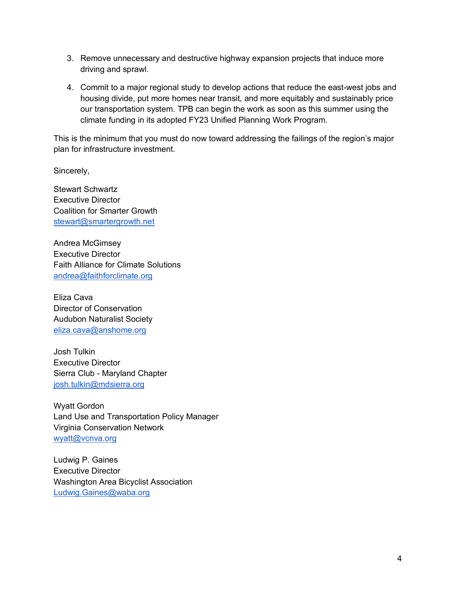- 3. Remove unnecessary and destructive highway expansion projects that induce more driving and sprawl.
- 4. Commit to a major regional study to develop actions that reduce the east-west jobs and housing divide, put more homes near transit, and more equitably and sustainably price our transportation system. TPB can begin the work as soon as this summer using the climate funding in its adopted FY23 Unified Planning Work Program.

This is the minimum that you must do now toward addressing the failings of the region's major plan for infrastructure investment.

Sincerely,

Stewart Schwartz Executive Director Coalition for Smarter Growth stewart@smartergrowth.net

Andrea McGimsey Executive Director Faith Alliance for Climate Solutions andrea@faithforclimate.org

Eliza Cava Director of Conservation Audubon Naturalist Society eliza.cava@anshome.org

Josh Tulkin Executive Director Sierra Club - Maryland Chapter josh.tulkin@mdsierra.org

Wyatt Gordon Land Use and Transportation Policy Manager Virginia Conservation Network wyatt@vcnva.org

Ludwig P. Gaines Executive Director Washington Area Bicyclist Association Ludwig.Gaines@waba.org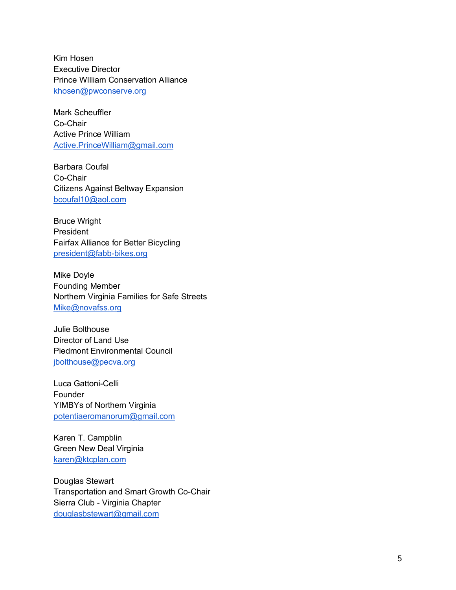Kim Hosen Executive Director Prince WIlliam Conservation Alliance khosen@pwconserve.org

Mark Scheuffler Co -Chair Active Prince William Active.PrinceWilliam@gmail.com

Barbara Coufal Co -Chair Citizens Against Beltway Expansion bcoufal10@aol.com

Bruce Wright President Fairfax Alliance for Better Bicycling president@fabb -bikes.org

Mike Doyle Founding Member Northern Virginia Families for Safe Streets Mike@novafss.org

Julie Bolthouse Director of Land Use Piedmont Environmental Council jbolthouse@pecva.org

Luca Gattoni -Celli **Founder** YIMBYs of Northern Virginia potentiaeromanorum@gmail.com

Karen T. Campblin Green New Deal Virginia karen@ktcplan.com

Douglas Stewart Transportation and Smart Growth Co -Chair Sierra Club - Virginia Chapter douglasbstewart@gmail.com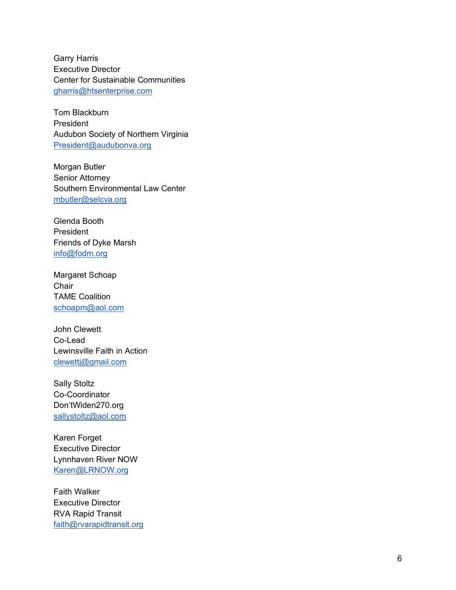Garry Harris Executive Director Center for Sustainable Communities gharris@htsenterprise.com

Tom Blackburn President Audubon Society of Northern Virginia President@audubonva.org

Morgan Butler Senior Attorney Southern Environmental Law Center mbutler@selcva.org

Glenda Booth President Friends of Dyke Marsh info@fodm.org

Margaret Schoap **Chair** TAME Coalition schoapm@aol.com

John Clewett Co -Lead Lewinsville Faith in Action clewettj@gmail.com

Sally Stoltz Co -Coordinator Don'tWiden270.org sallystoltz@aol.com

Karen Forget Executive Director Lynnhaven River NOW Karen@LRNOW.org

Faith Walker Executive Director RVA Rapid Transit faith@rvarapidtransit.org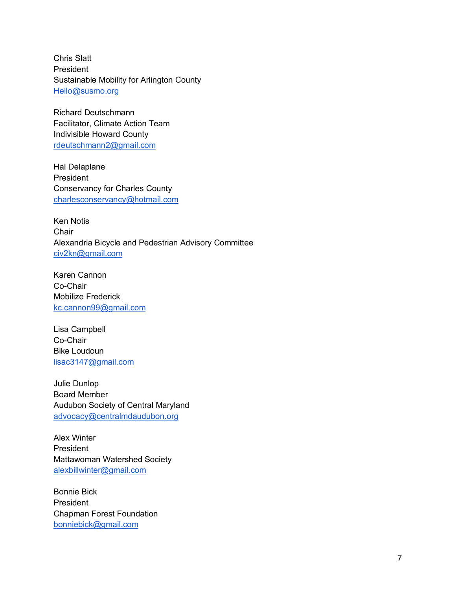Chris Slatt President Sustainable Mobility for Arlington County Hello@susmo.org

Richard Deutschmann Facilitator, Climate Action Team Indivisible Howard County rdeutschmann2@gmail.com

Hal Delaplane President Conservancy for Charles County charlesconservancy@hotmail.com

Ken Notis **Chair** Alexandria Bicycle and Pedestrian Advisory Committee civ2kn@gmail.com

Karen Cannon Co-Chair Mobilize Frederick kc.cannon99@gmail.com

Lisa Campbell Co-Chair Bike Loudoun lisac3147@gmail.com

Julie Dunlop Board Member Audubon Society of Central Maryland advocacy@centralmdaudubon.org

Alex Winter President Mattawoman Watershed Society alexbillwinter@gmail.com

Bonnie Bick President Chapman Forest Foundation bonniebick@gmail.com